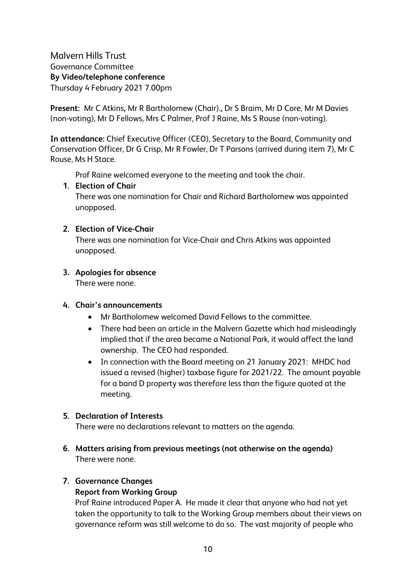Malvern Hills Trust Governance Committee **By Video/telephone conference** Thursday 4 February 2021 7.00pm

**Present:** Mr C Atkins**,** Mr R Bartholomew (Chair).**,** Dr S Braim, Mr D Core, Mr M Davies (non-voting), Mr D Fellows, Mrs C Palmer, Prof J Raine, Ms S Rouse (non-voting).

**In attendance:** Chief Executive Officer (CEO), Secretary to the Board, Community and Conservation Officer, Dr G Crisp, Mr R Fowler, Dr T Parsons (arrived during item 7), Mr C Rouse, Ms H Stace.

Prof Raine welcomed everyone to the meeting and took the chair.

### **1. Election of Chair**

There was one nomination for Chair and Richard Bartholomew was appointed unopposed.

### **2. Election of Vice-Chair**

There was one nomination for Vice-Chair and Chris Atkins was appointed unopposed.

# **3. Apologies for absence**

There were none.

#### **4. Chair's announcements**

- Mr Bartholomew welcomed David Fellows to the committee.
- There had been an article in the Malvern Gazette which had misleadingly implied that if the area became a National Park, it would affect the land ownership. The CEO had responded.
- In connection with the Board meeting on 21 January 2021: MHDC had issued a revised (higher) taxbase figure for 2021/22. The amount payable for a band D property was therefore less than the figure quoted at the meeting.

# **5. Declaration of Interests**

There were no declarations relevant to matters on the agenda.

**6. Matters arising from previous meetings (not otherwise on the agenda)**  There were none.

# **7. Governance Changes**

# **Report from Working Group**

Prof Raine introduced Paper A. He made it clear that anyone who had not yet taken the opportunity to talk to the Working Group members about their views on governance reform was still welcome to do so. The vast majority of people who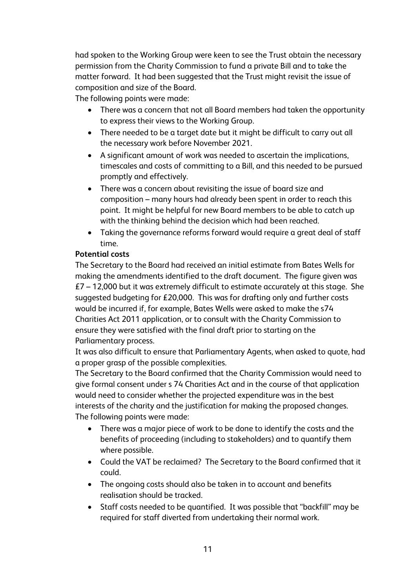had spoken to the Working Group were keen to see the Trust obtain the necessary permission from the Charity Commission to fund a private Bill and to take the matter forward. It had been suggested that the Trust might revisit the issue of composition and size of the Board.

The following points were made:

- There was a concern that not all Board members had taken the opportunity to express their views to the Working Group.
- There needed to be a target date but it might be difficult to carry out all the necessary work before November 2021.
- A significant amount of work was needed to ascertain the implications, timescales and costs of committing to a Bill, and this needed to be pursued promptly and effectively.
- There was a concern about revisiting the issue of board size and composition – many hours had already been spent in order to reach this point. It might be helpful for new Board members to be able to catch up with the thinking behind the decision which had been reached.
- Taking the governance reforms forward would require a great deal of staff time.

### **Potential costs**

The Secretary to the Board had received an initial estimate from Bates Wells for making the amendments identified to the draft document. The figure given was  $E7 - 12,000$  but it was extremely difficult to estimate accurately at this stage. She suggested budgeting for £20,000. This was for drafting only and further costs would be incurred if, for example, Bates Wells were asked to make the s74 Charities Act 2011 application, or to consult with the Charity Commission to ensure they were satisfied with the final draft prior to starting on the Parliamentary process.

It was also difficult to ensure that Parliamentary Agents, when asked to quote, had a proper grasp of the possible complexities.

The Secretary to the Board confirmed that the Charity Commission would need to give formal consent under s 74 Charities Act and in the course of that application would need to consider whether the projected expenditure was in the best interests of the charity and the justification for making the proposed changes. The following points were made:

- There was a major piece of work to be done to identify the costs and the benefits of proceeding (including to stakeholders) and to quantify them where possible.
- Could the VAT be reclaimed? The Secretary to the Board confirmed that it could.
- The ongoing costs should also be taken in to account and benefits realisation should be tracked.
- Staff costs needed to be quantified. It was possible that "backfill" may be required for staff diverted from undertaking their normal work.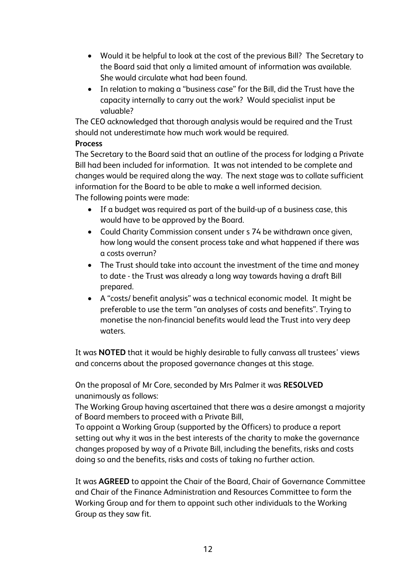- Would it be helpful to look at the cost of the previous Bill? The Secretary to the Board said that only a limited amount of information was available. She would circulate what had been found.
- In relation to making a "business case" for the Bill, did the Trust have the capacity internally to carry out the work? Would specialist input be valuable?

The CEO acknowledged that thorough analysis would be required and the Trust should not underestimate how much work would be required.

## **Process**

The Secretary to the Board said that an outline of the process for lodging a Private Bill had been included for information. It was not intended to be complete and changes would be required along the way. The next stage was to collate sufficient information for the Board to be able to make a well informed decision. The following points were made:

- If a budget was required as part of the build-up of a business case, this would have to be approved by the Board.
- Could Charity Commission consent under s 74 be withdrawn once given, how long would the consent process take and what happened if there was a costs overrun?
- The Trust should take into account the investment of the time and money to date - the Trust was already a long way towards having a draft Bill prepared.
- A "costs/ benefit analysis" was a technical economic model. It might be preferable to use the term "an analyses of costs and benefits". Trying to monetise the non-financial benefits would lead the Trust into very deep waters.

It was **NOTED** that it would be highly desirable to fully canvass all trustees' views and concerns about the proposed governance changes at this stage.

On the proposal of Mr Core, seconded by Mrs Palmer it was **RESOLVED** unanimously as follows:

The Working Group having ascertained that there was a desire amongst a majority of Board members to proceed with a Private Bill,

To appoint a Working Group (supported by the Officers) to produce a report setting out why it was in the best interests of the charity to make the governance changes proposed by way of a Private Bill, including the benefits, risks and costs doing so and the benefits, risks and costs of taking no further action.

It was **AGREED** to appoint the Chair of the Board, Chair of Governance Committee and Chair of the Finance Administration and Resources Committee to form the Working Group and for them to appoint such other individuals to the Working Group as they saw fit.